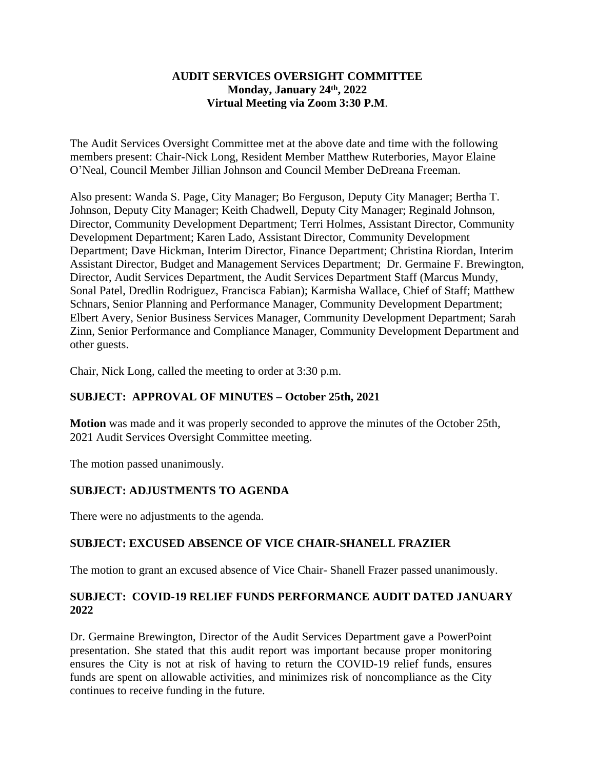### **AUDIT SERVICES OVERSIGHT COMMITTEE Monday, January 24th, 2022 Virtual Meeting via Zoom 3:30 P.M**.

The Audit Services Oversight Committee met at the above date and time with the following members present: Chair-Nick Long, Resident Member Matthew Ruterbories, Mayor Elaine O'Neal, Council Member Jillian Johnson and Council Member DeDreana Freeman.

Also present: Wanda S. Page, City Manager; Bo Ferguson, Deputy City Manager; Bertha T. Johnson, Deputy City Manager; Keith Chadwell, Deputy City Manager; Reginald Johnson, Director, Community Development Department; Terri Holmes, Assistant Director, Community Development Department; Karen Lado, Assistant Director, Community Development Department; Dave Hickman, Interim Director, Finance Department; Christina Riordan, Interim Assistant Director, Budget and Management Services Department; Dr. Germaine F. Brewington, Director, Audit Services Department, the Audit Services Department Staff (Marcus Mundy, Sonal Patel, Dredlin Rodriguez, Francisca Fabian); Karmisha Wallace, Chief of Staff; Matthew Schnars, Senior Planning and Performance Manager, Community Development Department; Elbert Avery, Senior Business Services Manager, Community Development Department; Sarah Zinn, Senior Performance and Compliance Manager, Community Development Department and other guests.

Chair, Nick Long, called the meeting to order at 3:30 p.m.

## **SUBJECT: APPROVAL OF MINUTES – October 25th, 2021**

**Motion** was made and it was properly seconded to approve the minutes of the October 25th, 2021 Audit Services Oversight Committee meeting.

The motion passed unanimously.

# **SUBJECT: ADJUSTMENTS TO AGENDA**

There were no adjustments to the agenda.

# **SUBJECT: EXCUSED ABSENCE OF VICE CHAIR-SHANELL FRAZIER**

The motion to grant an excused absence of Vice Chair- Shanell Frazer passed unanimously.

## **SUBJECT: COVID-19 RELIEF FUNDS PERFORMANCE AUDIT DATED JANUARY 2022**

Dr. Germaine Brewington, Director of the Audit Services Department gave a PowerPoint presentation. She stated that this audit report was important because proper monitoring ensures the City is not at risk of having to return the COVID-19 relief funds, ensures funds are spent on allowable activities, and minimizes risk of noncompliance as the City continues to receive funding in the future.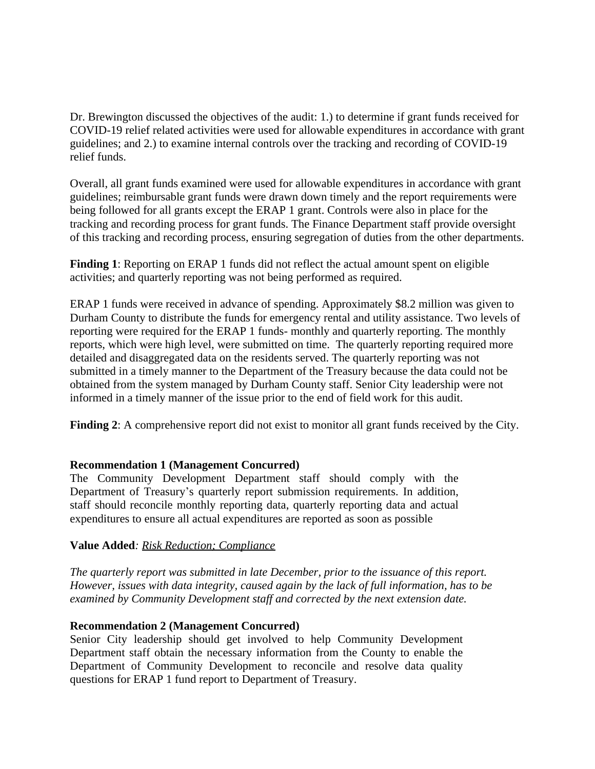Dr. Brewington discussed the objectives of the audit: 1.) to determine if grant funds received for COVID-19 relief related activities were used for allowable expenditures in accordance with grant guidelines; and 2.) to examine internal controls over the tracking and recording of COVID-19 relief funds.

Overall, all grant funds examined were used for allowable expenditures in accordance with grant guidelines; reimbursable grant funds were drawn down timely and the report requirements were being followed for all grants except the ERAP 1 grant. Controls were also in place for the tracking and recording process for grant funds. The Finance Department staff provide oversight of this tracking and recording process, ensuring segregation of duties from the other departments.

**Finding 1**: Reporting on ERAP 1 funds did not reflect the actual amount spent on eligible activities; and quarterly reporting was not being performed as required.

ERAP 1 funds were received in advance of spending. Approximately \$8.2 million was given to Durham County to distribute the funds for emergency rental and utility assistance. Two levels of reporting were required for the ERAP 1 funds- monthly and quarterly reporting. The monthly reports, which were high level, were submitted on time. The quarterly reporting required more detailed and disaggregated data on the residents served. The quarterly reporting was not submitted in a timely manner to the Department of the Treasury because the data could not be obtained from the system managed by Durham County staff. Senior City leadership were not informed in a timely manner of the issue prior to the end of field work for this audit.

**Finding 2**: A comprehensive report did not exist to monitor all grant funds received by the City.

## **Recommendation 1 (Management Concurred)**

The Community Development Department staff should comply with the Department of Treasury's quarterly report submission requirements. In addition, staff should reconcile monthly reporting data, quarterly reporting data and actual expenditures to ensure all actual expenditures are reported as soon as possible

#### **Value Added***: Risk Reduction; Compliance*

*The quarterly report was submitted in late December, prior to the issuance of this report. However, issues with data integrity, caused again by the lack of full information, has to be examined by Community Development staff and corrected by the next extension date.*

#### **Recommendation 2 (Management Concurred)**

Senior City leadership should get involved to help Community Development Department staff obtain the necessary information from the County to enable the Department of Community Development to reconcile and resolve data quality questions for ERAP 1 fund report to Department of Treasury.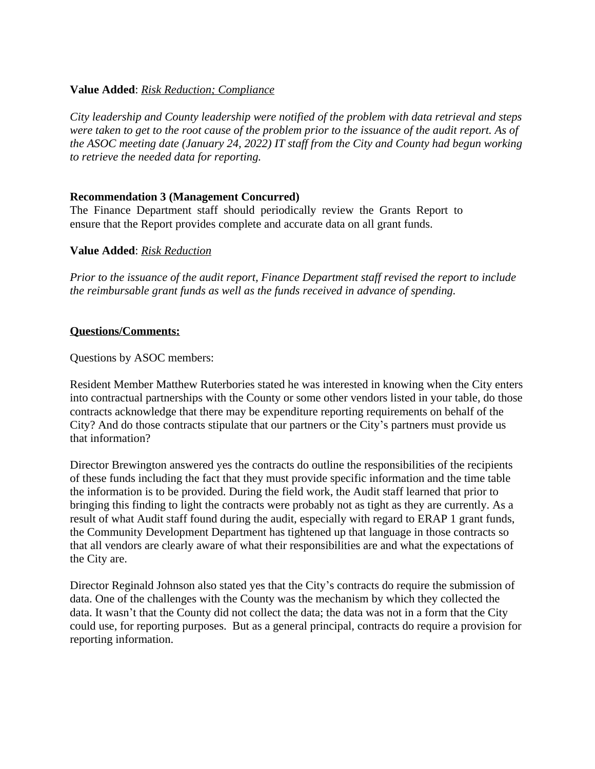### **Value Added**: *Risk Reduction; Compliance*

*City leadership and County leadership were notified of the problem with data retrieval and steps were taken to get to the root cause of the problem prior to the issuance of the audit report. As of the ASOC meeting date (January 24, 2022) IT staff from the City and County had begun working to retrieve the needed data for reporting.* 

### **Recommendation 3 (Management Concurred)**

The Finance Department staff should periodically review the Grants Report to ensure that the Report provides complete and accurate data on all grant funds.

### **Value Added**: *Risk Reduction*

*Prior to the issuance of the audit report, Finance Department staff revised the report to include the reimbursable grant funds as well as the funds received in advance of spending.*

### **Questions/Comments:**

Questions by ASOC members:

Resident Member Matthew Ruterbories stated he was interested in knowing when the City enters into contractual partnerships with the County or some other vendors listed in your table, do those contracts acknowledge that there may be expenditure reporting requirements on behalf of the City? And do those contracts stipulate that our partners or the City's partners must provide us that information?

Director Brewington answered yes the contracts do outline the responsibilities of the recipients of these funds including the fact that they must provide specific information and the time table the information is to be provided. During the field work, the Audit staff learned that prior to bringing this finding to light the contracts were probably not as tight as they are currently. As a result of what Audit staff found during the audit, especially with regard to ERAP 1 grant funds, the Community Development Department has tightened up that language in those contracts so that all vendors are clearly aware of what their responsibilities are and what the expectations of the City are.

Director Reginald Johnson also stated yes that the City's contracts do require the submission of data. One of the challenges with the County was the mechanism by which they collected the data. It wasn't that the County did not collect the data; the data was not in a form that the City could use, for reporting purposes. But as a general principal, contracts do require a provision for reporting information.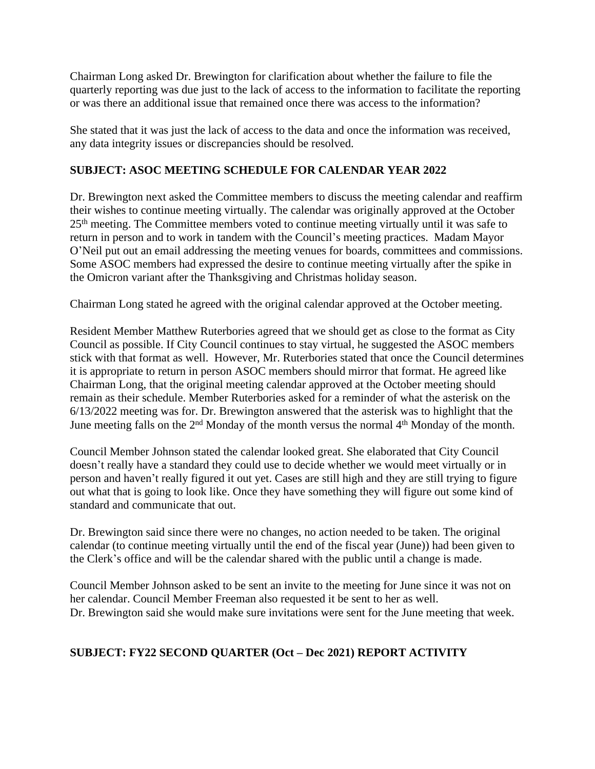Chairman Long asked Dr. Brewington for clarification about whether the failure to file the quarterly reporting was due just to the lack of access to the information to facilitate the reporting or was there an additional issue that remained once there was access to the information?

She stated that it was just the lack of access to the data and once the information was received, any data integrity issues or discrepancies should be resolved.

## **SUBJECT: ASOC MEETING SCHEDULE FOR CALENDAR YEAR 2022**

Dr. Brewington next asked the Committee members to discuss the meeting calendar and reaffirm their wishes to continue meeting virtually. The calendar was originally approved at the October 25th meeting. The Committee members voted to continue meeting virtually until it was safe to return in person and to work in tandem with the Council's meeting practices. Madam Mayor O'Neil put out an email addressing the meeting venues for boards, committees and commissions. Some ASOC members had expressed the desire to continue meeting virtually after the spike in the Omicron variant after the Thanksgiving and Christmas holiday season.

Chairman Long stated he agreed with the original calendar approved at the October meeting.

Resident Member Matthew Ruterbories agreed that we should get as close to the format as City Council as possible. If City Council continues to stay virtual, he suggested the ASOC members stick with that format as well. However, Mr. Ruterbories stated that once the Council determines it is appropriate to return in person ASOC members should mirror that format. He agreed like Chairman Long, that the original meeting calendar approved at the October meeting should remain as their schedule. Member Ruterbories asked for a reminder of what the asterisk on the 6/13/2022 meeting was for. Dr. Brewington answered that the asterisk was to highlight that the June meeting falls on the 2<sup>nd</sup> Monday of the month versus the normal 4<sup>th</sup> Monday of the month.

Council Member Johnson stated the calendar looked great. She elaborated that City Council doesn't really have a standard they could use to decide whether we would meet virtually or in person and haven't really figured it out yet. Cases are still high and they are still trying to figure out what that is going to look like. Once they have something they will figure out some kind of standard and communicate that out.

Dr. Brewington said since there were no changes, no action needed to be taken. The original calendar (to continue meeting virtually until the end of the fiscal year (June)) had been given to the Clerk's office and will be the calendar shared with the public until a change is made.

Council Member Johnson asked to be sent an invite to the meeting for June since it was not on her calendar. Council Member Freeman also requested it be sent to her as well. Dr. Brewington said she would make sure invitations were sent for the June meeting that week.

# **SUBJECT: FY22 SECOND QUARTER (Oct – Dec 2021) REPORT ACTIVITY**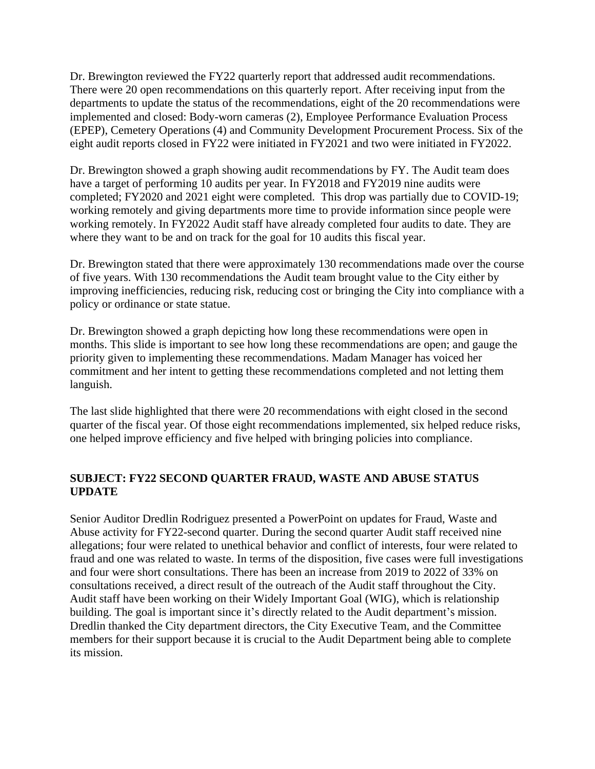Dr. Brewington reviewed the FY22 quarterly report that addressed audit recommendations. There were 20 open recommendations on this quarterly report. After receiving input from the departments to update the status of the recommendations, eight of the 20 recommendations were implemented and closed: Body-worn cameras (2), Employee Performance Evaluation Process (EPEP), Cemetery Operations (4) and Community Development Procurement Process. Six of the eight audit reports closed in FY22 were initiated in FY2021 and two were initiated in FY2022.

Dr. Brewington showed a graph showing audit recommendations by FY. The Audit team does have a target of performing 10 audits per year. In FY2018 and FY2019 nine audits were completed; FY2020 and 2021 eight were completed. This drop was partially due to COVID-19; working remotely and giving departments more time to provide information since people were working remotely. In FY2022 Audit staff have already completed four audits to date. They are where they want to be and on track for the goal for 10 audits this fiscal year.

Dr. Brewington stated that there were approximately 130 recommendations made over the course of five years. With 130 recommendations the Audit team brought value to the City either by improving inefficiencies, reducing risk, reducing cost or bringing the City into compliance with a policy or ordinance or state statue.

Dr. Brewington showed a graph depicting how long these recommendations were open in months. This slide is important to see how long these recommendations are open; and gauge the priority given to implementing these recommendations. Madam Manager has voiced her commitment and her intent to getting these recommendations completed and not letting them languish.

The last slide highlighted that there were 20 recommendations with eight closed in the second quarter of the fiscal year. Of those eight recommendations implemented, six helped reduce risks, one helped improve efficiency and five helped with bringing policies into compliance.

## **SUBJECT: FY22 SECOND QUARTER FRAUD, WASTE AND ABUSE STATUS UPDATE**

Senior Auditor Dredlin Rodriguez presented a PowerPoint on updates for Fraud, Waste and Abuse activity for FY22-second quarter. During the second quarter Audit staff received nine allegations; four were related to unethical behavior and conflict of interests, four were related to fraud and one was related to waste. In terms of the disposition, five cases were full investigations and four were short consultations. There has been an increase from 2019 to 2022 of 33% on consultations received, a direct result of the outreach of the Audit staff throughout the City. Audit staff have been working on their Widely Important Goal (WIG), which is relationship building. The goal is important since it's directly related to the Audit department's mission. Dredlin thanked the City department directors, the City Executive Team, and the Committee members for their support because it is crucial to the Audit Department being able to complete its mission.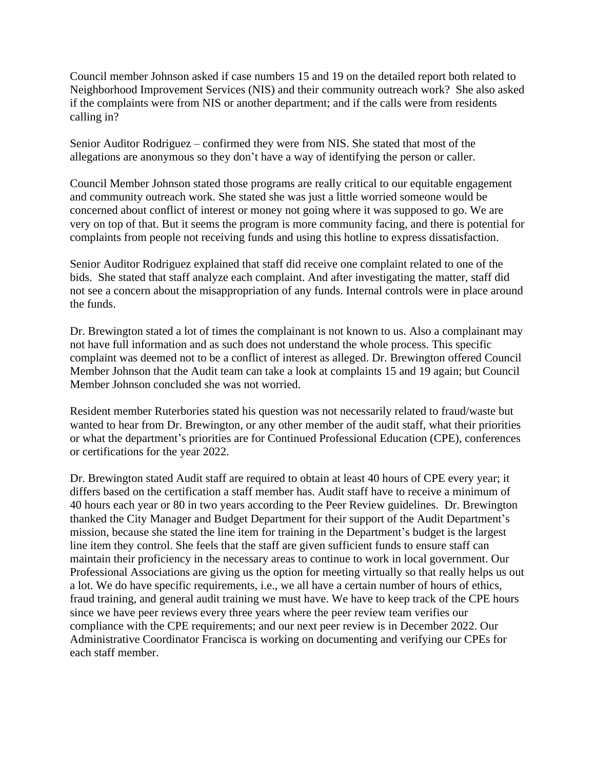Council member Johnson asked if case numbers 15 and 19 on the detailed report both related to Neighborhood Improvement Services (NIS) and their community outreach work? She also asked if the complaints were from NIS or another department; and if the calls were from residents calling in?

Senior Auditor Rodriguez – confirmed they were from NIS. She stated that most of the allegations are anonymous so they don't have a way of identifying the person or caller.

Council Member Johnson stated those programs are really critical to our equitable engagement and community outreach work. She stated she was just a little worried someone would be concerned about conflict of interest or money not going where it was supposed to go. We are very on top of that. But it seems the program is more community facing, and there is potential for complaints from people not receiving funds and using this hotline to express dissatisfaction.

Senior Auditor Rodriguez explained that staff did receive one complaint related to one of the bids. She stated that staff analyze each complaint. And after investigating the matter, staff did not see a concern about the misappropriation of any funds. Internal controls were in place around the funds.

Dr. Brewington stated a lot of times the complainant is not known to us. Also a complainant may not have full information and as such does not understand the whole process. This specific complaint was deemed not to be a conflict of interest as alleged. Dr. Brewington offered Council Member Johnson that the Audit team can take a look at complaints 15 and 19 again; but Council Member Johnson concluded she was not worried.

Resident member Ruterbories stated his question was not necessarily related to fraud/waste but wanted to hear from Dr. Brewington, or any other member of the audit staff, what their priorities or what the department's priorities are for Continued Professional Education (CPE), conferences or certifications for the year 2022.

Dr. Brewington stated Audit staff are required to obtain at least 40 hours of CPE every year; it differs based on the certification a staff member has. Audit staff have to receive a minimum of 40 hours each year or 80 in two years according to the Peer Review guidelines. Dr. Brewington thanked the City Manager and Budget Department for their support of the Audit Department's mission, because she stated the line item for training in the Department's budget is the largest line item they control. She feels that the staff are given sufficient funds to ensure staff can maintain their proficiency in the necessary areas to continue to work in local government. Our Professional Associations are giving us the option for meeting virtually so that really helps us out a lot. We do have specific requirements, i.e., we all have a certain number of hours of ethics, fraud training, and general audit training we must have. We have to keep track of the CPE hours since we have peer reviews every three years where the peer review team verifies our compliance with the CPE requirements; and our next peer review is in December 2022. Our Administrative Coordinator Francisca is working on documenting and verifying our CPEs for each staff member.